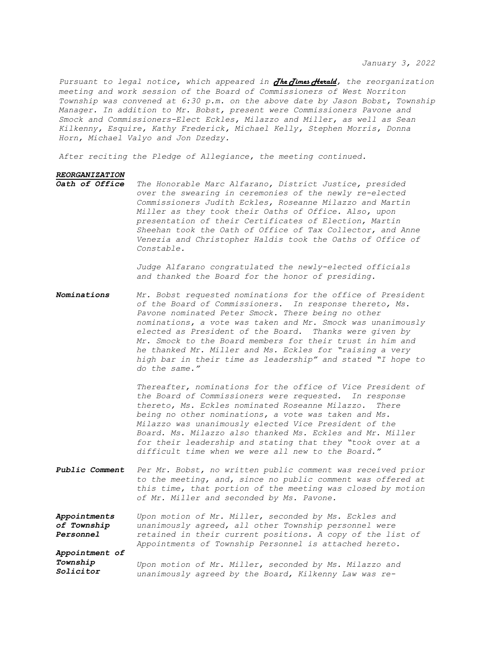*January 3, 2022*

*Pursuant to legal notice, which appeared in The Times Herald, the reorganization meeting and work session of the Board of Commissioners of West Norriton Township was convened at 6:30 p.m. on the above date by Jason Bobst, Township Manager. In addition to Mr. Bobst, present were Commissioners Pavone and Smock and Commissioners-Elect Eckles, Milazzo and Miller, as well as Sean Kilkenny, Esquire, Kathy Frederick, Michael Kelly, Stephen Morris, Donna Horn, Michael Valyo and Jon Dzedzy.* 

*After reciting the Pledge of Allegiance, the meeting continued.*

## *REORGANIZATION*

The Honorable Marc Alfarano, District Justice, presided *over the swearing in ceremonies of the newly re-elected Commissioners Judith Eckles, Roseanne Milazzo and Martin Miller as they took their Oaths of Office. Also, upon presentation of their Certificates of Election, Martin Sheehan took the Oath of Office of Tax Collector, and Anne Venezia and Christopher Haldis took the Oaths of Office of Constable.*

> *Judge Alfarano congratulated the newly-elected officials and thanked the Board for the honor of presiding.*

*Nominations Mr. Bobst requested nominations for the office of President of the Board of Commissioners. In response thereto, Ms. Pavone nominated Peter Smock. There being no other nominations, a vote was taken and Mr. Smock was unanimously elected as President of the Board. Thanks were given by Mr. Smock to the Board members for their trust in him and he thanked Mr. Miller and Ms. Eckles for "raising a very high bar in their time as leadership" and stated "I hope to do the same."*

> *Thereafter, nominations for the office of Vice President of the Board of Commissioners were requested. In response thereto, Ms. Eckles nominated Roseanne Milazzo. There being no other nominations, a vote was taken and Ms. Milazzo was unanimously elected Vice President of the Board. Ms. Milazzo also thanked Ms. Eckles and Mr. Miller for their leadership and stating that they "took over at a difficult time when we were all new to the Board."*

*Public Comment Per Mr. Bobst, no written public comment was received prior to the meeting, and, since no public comment was offered at this time, that portion of the meeting was closed by motion of Mr. Miller and seconded by Ms. Pavone.*

*Appointments of Township Personnel Appointment of Township Upon motion of Mr. Miller, seconded by Ms. Eckles and unanimously agreed, all other Township personnel were retained in their current positions. A copy of the list of Appointments of Township Personnel is attached hereto. Upon motion of Mr. Miller, seconded by Ms. Milazzo and*

*Solicitor unanimously agreed by the Board, Kilkenny Law was re-*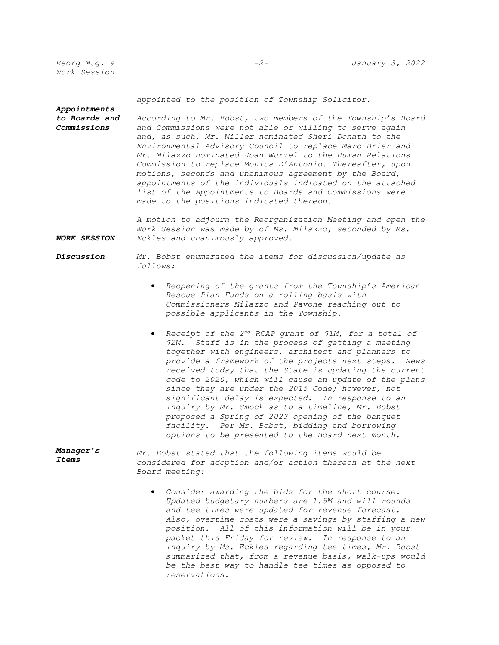*Reorg Mtg. & Work Session*

*Appointments* 

*appointed to the position of Township Solicitor.*

*to Boards and Commissions According to Mr. Bobst, two members of the Township's Board and Commissions were not able or willing to serve again and, as such, Mr. Miller nominated Sheri Donath to the Environmental Advisory Council to replace Marc Brier and Mr. Milazzo nominated Joan Wurzel to the Human Relations Commission to replace Monica D'Antonio. Thereafter, upon motions, seconds and unanimous agreement by the Board, appointments of the individuals indicated on the attached list of the Appointments to Boards and Commissions were made to the positions indicated thereon.*

*WORK SESSION A motion to adjourn the Reorganization Meeting and open the Work Session was made by of Ms. Milazzo, seconded by Ms. Eckles and unanimously approved.*

## *Discussion Mr. Bobst enumerated the items for discussion/update as follows:*

- *Reopening of the grants from the Township's American Rescue Plan Funds on a rolling basis with Commissioners Milazzo and Pavone reaching out to possible applicants in the Township.*
- **•** Receipt of the 2<sup>nd</sup> RCAP grant of \$1M, for a total of *\$2M. Staff is in the process of getting a meeting together with engineers, architect and planners to provide a framework of the projects next steps. News received today that the State is updating the current code to 2020, which will cause an update of the plans since they are under the 2015 Code; however, not significant delay is expected. In response to an inquiry by Mr. Smock as to a timeline, Mr. Bobst proposed a Spring of 2023 opening of the banquet facility. Per Mr. Bobst, bidding and borrowing options to be presented to the Board next month.*
- *Manager's Items Mr. Bobst stated that the following items would be considered for adoption and/or action thereon at the next Board meeting:*
	- *Consider awarding the bids for the short course. Updated budgetary numbers are 1.5M and will rounds and tee times were updated for revenue forecast. Also, overtime costs were a savings by staffing a new position. All of this information will be in your packet this Friday for review. In response to an inquiry by Ms. Eckles regarding tee times, Mr. Bobst summarized that, from a revenue basis, walk-ups would be the best way to handle tee times as opposed to reservations.*